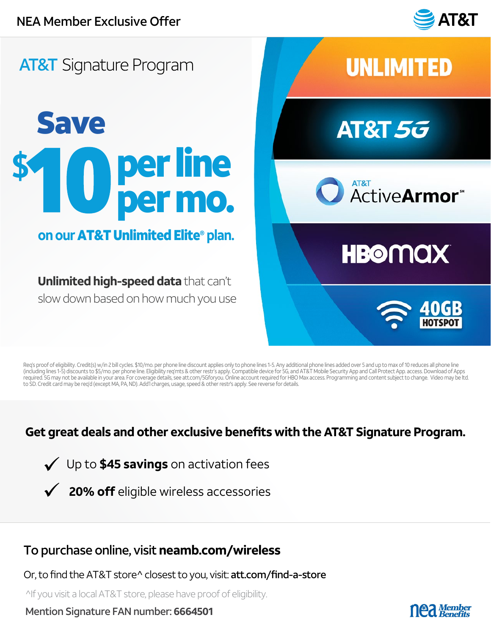

## **AT&T** Signature Program

# Save per line per mo.

### **on our** AT&T Unlimited Elite® **plan.**

**Unlimited high-speed data** that can't slow down based on how much you use



Req's proof of eligibility. Credit(s) w/in 2 bill cycles. \$10/mo. per phone line discount applies only to phone lines 1-5. Any additional phone lines added over 5 and up to max of 10 reduces all phone line (including lines 1-5) discounts to \$5/mo. per phone line. Eligibility req'mts & other restr's apply. Compatible device for 5G, and AT&T Mobile Security App and Call Protect App. access. Download of Apps<br>required. 5G may no to SD. Credit card may be req'd (except MA, PA, ND). Add'l charges, usage, speed & other restr's apply. See reverse for details.

#### **Get great deals and other exclusive benefits with the AT&T Signature Program.**

Up to **\$45 savings** on activation fees

**20% off** eligible wireless accessories

#### To purchase online, visit **neamb.com/wireless**

Or, to find the AT&T store^ closest to you, visit: att.com/find-a-store

^If you visit a local AT&T store, please have proof of eligibility.

Mention Signature FAN number: **6664501**